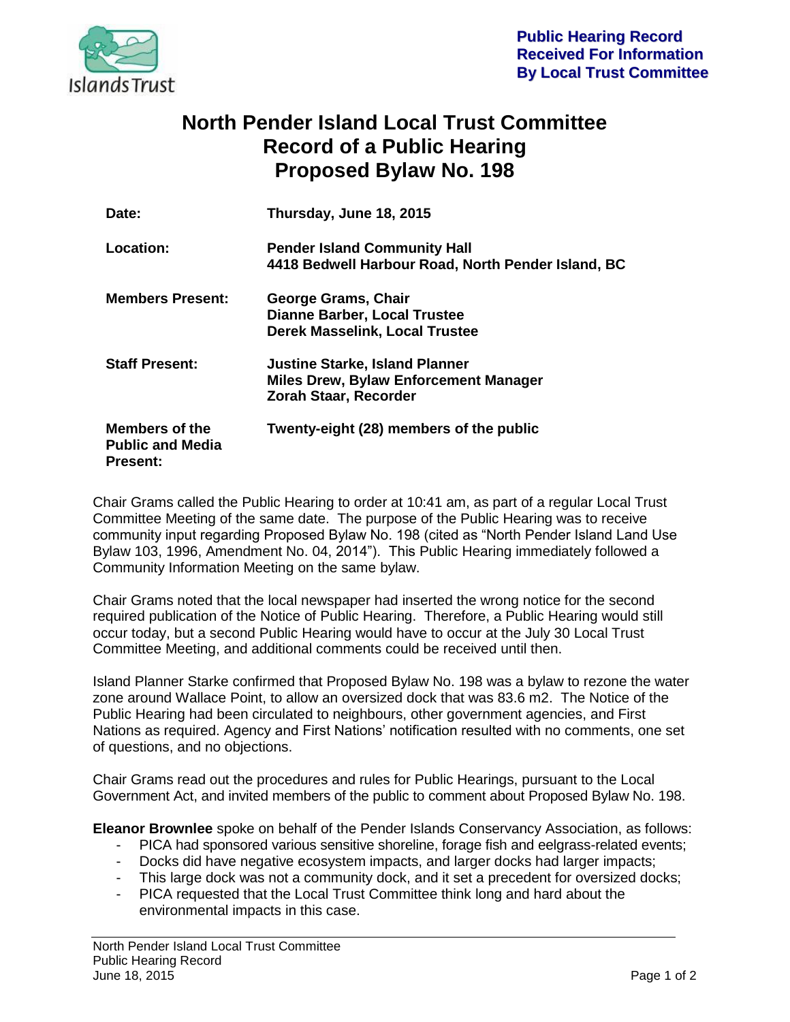

## **North Pender Island Local Trust Committee Record of a Public Hearing Proposed Bylaw No. 198**

| Date:                                                               | Thursday, June 18, 2015                                                                                               |
|---------------------------------------------------------------------|-----------------------------------------------------------------------------------------------------------------------|
| Location:                                                           | <b>Pender Island Community Hall</b><br>4418 Bedwell Harbour Road, North Pender Island, BC                             |
| <b>Members Present:</b>                                             | George Grams, Chair<br><b>Dianne Barber, Local Trustee</b><br><b>Derek Masselink, Local Trustee</b>                   |
| <b>Staff Present:</b>                                               | <b>Justine Starke, Island Planner</b><br><b>Miles Drew, Bylaw Enforcement Manager</b><br><b>Zorah Staar, Recorder</b> |
| <b>Members of the</b><br><b>Public and Media</b><br><b>Present:</b> | Twenty-eight (28) members of the public                                                                               |

Chair Grams called the Public Hearing to order at 10:41 am, as part of a regular Local Trust Committee Meeting of the same date. The purpose of the Public Hearing was to receive community input regarding Proposed Bylaw No. 198 (cited as "North Pender Island Land Use Bylaw 103, 1996, Amendment No. 04, 2014"). This Public Hearing immediately followed a Community Information Meeting on the same bylaw.

Chair Grams noted that the local newspaper had inserted the wrong notice for the second required publication of the Notice of Public Hearing. Therefore, a Public Hearing would still occur today, but a second Public Hearing would have to occur at the July 30 Local Trust Committee Meeting, and additional comments could be received until then.

Island Planner Starke confirmed that Proposed Bylaw No. 198 was a bylaw to rezone the water zone around Wallace Point, to allow an oversized dock that was 83.6 m2. The Notice of the Public Hearing had been circulated to neighbours, other government agencies, and First Nations as required. Agency and First Nations' notification resulted with no comments, one set of questions, and no objections.

Chair Grams read out the procedures and rules for Public Hearings, pursuant to the Local Government Act, and invited members of the public to comment about Proposed Bylaw No. 198.

**Eleanor Brownlee** spoke on behalf of the Pender Islands Conservancy Association, as follows:

- PICA had sponsored various sensitive shoreline, forage fish and eelgrass-related events;
- Docks did have negative ecosystem impacts, and larger docks had larger impacts;
- This large dock was not a community dock, and it set a precedent for oversized docks;
- PICA requested that the Local Trust Committee think long and hard about the environmental impacts in this case.